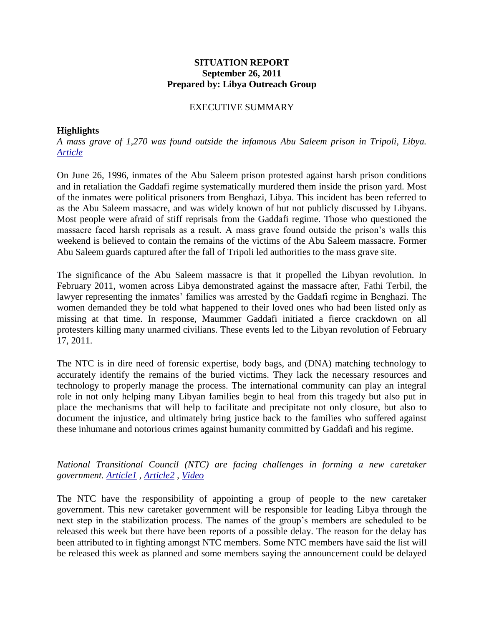#### **SITUATION REPORT September 26, 2011 Prepared by: Libya Outreach Group**

#### EXECUTIVE SUMMARY

#### **Highlights**

*A mass grave of 1,270 was found outside the infamous Abu Saleem prison in Tripoli, Libya. [Article](http://hosted2.ap.org/APDEFAULT/terms/Article_2011-09-25-ML-Libya/id-5106d2e782c64843a91d36e95f7bfb9f)*

On June 26, 1996, inmates of the Abu Saleem prison protested against harsh prison conditions and in retaliation the Gaddafi regime systematically murdered them inside the prison yard. Most of the inmates were political prisoners from Benghazi, Libya. This incident has been referred to as the Abu Saleem massacre, and was widely known of but not publicly discussed by Libyans. Most people were afraid of stiff reprisals from the Gaddafi regime. Those who questioned the massacre faced harsh reprisals as a result. A mass grave found outside the prison's walls this weekend is believed to contain the remains of the victims of the Abu Saleem massacre. Former Abu Saleem guards captured after the fall of Tripoli led authorities to the mass grave site.

The significance of the Abu Saleem massacre is that it propelled the Libyan revolution. In February 2011, women across Libya demonstrated against the massacre after, Fathi Terbil, the lawyer representing the inmates' families was arrested by the Gaddafi regime in Benghazi. The women demanded they be told what happened to their loved ones who had been listed only as missing at that time. In response, Maummer Gaddafi initiated a fierce crackdown on all protesters killing many unarmed civilians. These events led to the Libyan revolution of February 17, 2011.

The NTC is in dire need of forensic expertise, body bags, and (DNA) matching technology to accurately identify the remains of the buried victims. They lack the necessary resources and technology to properly manage the process. The international community can play an integral role in not only helping many Libyan families begin to heal from this tragedy but also put in place the mechanisms that will help to facilitate and precipitate not only closure, but also to document the injustice, and ultimately bring justice back to the families who suffered against these inhumane and notorious crimes against humanity committed by Gaddafi and his regime.

*National Transitional Council (NTC) are facing challenges in forming a new caretaker government. [Article1](http://blogs.aljazeera.net/liveblog/libya-sep-26-2011-0048) , [Article2](http://www.reuters.com/article/2011/09/25/libya-ntc-government-idUSL5E7KP19P20110925) , [Video](http://www.cbsnews.com/video/watch/?id=7382346n)*

The NTC have the responsibility of appointing a group of people to the new caretaker government. This new caretaker government will be responsible for leading Libya through the next step in the stabilization process. The names of the group's members are scheduled to be released this week but there have been reports of a possible delay. The reason for the delay has been attributed to in fighting amongst NTC members. Some NTC members have said the list will be released this week as planned and some members saying the announcement could be delayed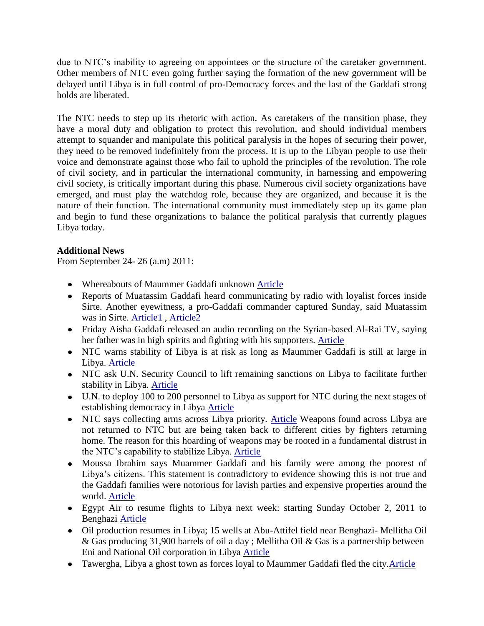due to NTC's inability to agreeing on appointees or the structure of the caretaker government. Other members of NTC even going further saying the formation of the new government will be delayed until Libya is in full control of pro-Democracy forces and the last of the Gaddafi strong holds are liberated.

The NTC needs to step up its rhetoric with action. As caretakers of the transition phase, they have a moral duty and obligation to protect this revolution, and should individual members attempt to squander and manipulate this political paralysis in the hopes of securing their power, they need to be removed indefinitely from the process. It is up to the Libyan people to use their voice and demonstrate against those who fail to uphold the principles of the revolution. The role of civil society, and in particular the international community, in harnessing and empowering civil society, is critically important during this phase. Numerous civil society organizations have emerged, and must play the watchdog role, because they are organized, and because it is the nature of their function. The international community must immediately step up its game plan and begin to fund these organizations to balance the political paralysis that currently plagues Libya today.

## **Additional News**

From September 24- 26 (a.m) 2011:

- Whereabouts of Maummer Gaddafi unknown [Article](http://hosted2.ap.org/APDEFAULT/terms/Article_2011-09-25-ML-Libya/id-5106d2e782c64843a91d36e95f7bfb9f)
- Reports of Muatassim Gaddafi heard communicating by radio with loyalist forces inside Sirte. Another eyewitness, a pro-Gaddafi commander captured Sunday, said Muatassim was in Sirte. [Article1](http://hosted2.ap.org/APDEFAULT/terms/Article_2011-09-25-ML-Libya/id-5106d2e782c64843a91d36e95f7bfb9f) , [Article2](http://www.businessweek.com/news/2011-09-26/libya-political-infighting-hampers-drive-to-form-new-cabinet.html)
- Friday Aisha Gaddafi released an audio recording on the Syrian-based Al-Rai TV, saying her father was in high spirits and fighting with his supporters. [Article](http://hosted2.ap.org/APDEFAULT/terms/Article_2011-09-25-ML-Libya/id-5106d2e782c64843a91d36e95f7bfb9f)
- NTC warns stability of Libya is at risk as long as Maummer Gaddafi is still at large in Libya. [Article](http://www.voanews.com/english/news/africa/Libyan-NTC-Chief-Warns-Gadhafi-Must-be-Caught-130574853.html)
- NTC ask U.N. Security Council to lift remaining sanctions on Libya to facilitate further stability in Libya. [Article](http://www.voanews.com/english/news/africa/Libyan-NTC-Chief-Warns-Gadhafi-Must-be-Caught-130574853.html)
- U.N. to deploy 100 to 200 personnel to Libya as support for NTC during the next stages of establishing democracy in Libya [Article](http://www.voanews.com/english/news/africa/Libyan-NTC-Chief-Warns-Gadhafi-Must-be-Caught-130574853.html)
- NTC says collecting arms across Libya priority. [Article](http://www.voanews.com/english/news/africa/Libyan-NTC-Chief-Warns-Gadhafi-Must-be-Caught-130574853.html) Weapons found across Libya are  $\bullet$ not returned to NTC but are being taken back to different cities by fighters returning home. The reason for this hoarding of weapons may be rooted in a fundamental distrust in the NTC's capability to stabilize Libya. [Article](http://www.nytimes.com/2011/09/26/world/africa/rivalries-impede-government-formation-in-libya.html)
- Moussa Ibrahim says Muammer Gaddafi and his family were among the poorest of  $\bullet$ Libya's citizens. This statement is contradictory to evidence showing this is not true and the Gaddafi families were notorious for lavish parties and expensive properties around the world. [Article](http://www.reuters.com/article/2011/09/25/libya-gaddafi-spokesman-idUSL5E7KP18H20110925)
- Egypt Air to resume flights to Libya next week: starting Sunday October 2, 2011 to Benghazi [Article](http://www.jpost.com/Headlines/Article.aspx?id=239486)
- Oil production resumes in Libya; 15 wells at Abu-Attifel field near Benghazi- Mellitha Oil & Gas producing 31,900 barrels of oil a day ; Mellitha Oil & Gas is a partnership between Eni and National Oil corporation in Libya [Article](http://www.philly.com/philly/wires/ap/business/20110926_ap_italysenioilproductionresumesinlibya.html)
- Tawergha, Libya a ghost town as forces loyal to Maummer Gaddafi fled the city. Article